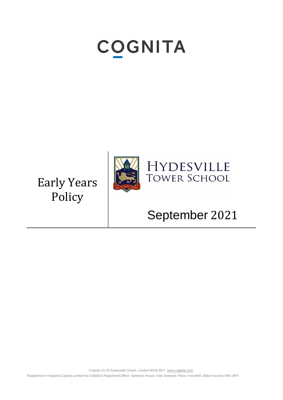# **COGNITA**

Early Years Policy



## HYDESVILLE **TOWER SCHOOL**

# September 2021

Cognita 41-42 Eastcastle Street, London W1W 8DY[, www.cognita.com](http://www.cognita.com/) Registered in England Cognita Limited No 5280910 Registered Office: Seebeck House, One Seebeck Place, Knowlhill, Milton Keynes MK5 8FR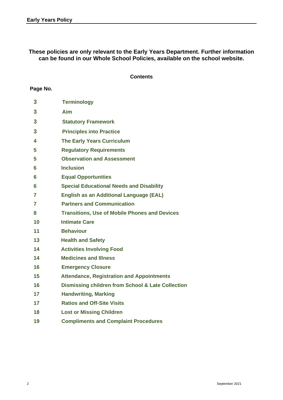**These policies are only relevant to the Early Years Department. Further information can be found in our Whole School Policies, available on the school website.**

#### **Contents**

#### **Page No.**

| 3              | <b>Terminology</b>                                           |
|----------------|--------------------------------------------------------------|
| 3              | Aim                                                          |
| 3              | <b>Statutory Framework</b>                                   |
| 3              | <b>Principles into Practice</b>                              |
| 4              | <b>The Early Years Curriculum</b>                            |
| 5              | <b>Regulatory Requirements</b>                               |
| 5              | <b>Observation and Assessment</b>                            |
| 6              | <b>Inclusion</b>                                             |
| 6              | <b>Equal Opportunities</b>                                   |
| 6              | <b>Special Educational Needs and Disability</b>              |
| $\overline{7}$ | <b>English as an Additional Language (EAL)</b>               |
| $\overline{7}$ | <b>Partners and Communication</b>                            |
| 8              | <b>Transitions, Use of Mobile Phones and Devices</b>         |
| 10             | <b>Intimate Care</b>                                         |
| 11             | <b>Behaviour</b>                                             |
| 13             | <b>Health and Safety</b>                                     |
| 14             | <b>Activities Involving Food</b>                             |
| 14             | <b>Medicines and Illness</b>                                 |
| 16             | <b>Emergency Closure</b>                                     |
| 15             | <b>Attendance, Registration and Appointments</b>             |
| 16             | <b>Dismissing children from School &amp; Late Collection</b> |
| 17             | <b>Handwriting, Marking</b>                                  |
| 17             | <b>Ratios and Off-Site Visits</b>                            |
| 18             | <b>Lost or Missing Children</b>                              |
| 19             | <b>Compliments and Complaint Procedures</b>                  |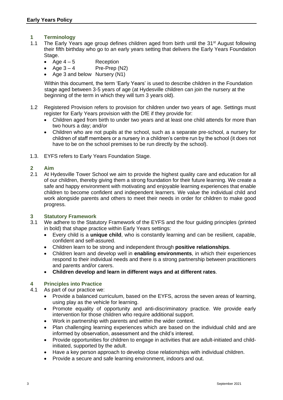- **1 Terminology**
- 1.1 The Early Years age group defines children aged from birth until the 31<sup>st</sup> August following their fifth birthday who go to an early years setting that delivers the Early Years Foundation Stage.
	- Age  $4-5$  Reception
	- $A$ ge  $3 4$  Pre-Prep (N2)
	- Age 3 and below Nursery (N1)

 Within this document, the term 'Early Years' is used to describe children in the Foundation stage aged between 3-5 years of age (at Hydesville children can join the nursery at the beginning of the term in which they will turn 3 years old).

- 1.2 Registered Provision refers to provision for children under two years of age. Settings must register for Early Years provision with the DfE if they provide for:
	- Children aged from birth to under two years and at least one child attends for more than two hours a day; and/or
	- Children who are not pupils at the school, such as a separate pre-school, a nursery for children of staff members or a nursery in a children's centre run by the school (it does not have to be on the school premises to be run directly by the school).
- 1.3. EYFS refers to Early Years Foundation Stage.

#### **2 Aim**

2.1 At Hydesville Tower School we aim to provide the highest quality care and education for all of our children, thereby giving them a strong foundation for their future learning. We create a safe and happy environment with motivating and enjoyable learning experiences that enable children to become confident and independent learners. We value the individual child and work alongside parents and others to meet their needs in order for children to make good progress.

#### **3 Statutory Framework**

- 3.1 We adhere to the Statutory Framework of the EYFS and the four guiding principles (printed in bold) that shape practice within Early Years settings:
	- Every child is a **unique child**, who is constantly learning and can be resilient, capable, confident and self-assured.
	- Children learn to be strong and independent through **positive relationships**.
	- Children learn and develop well in **enabling environments**, in which their experiences respond to their individual needs and there is a strong partnership between practitioners and parents and/or carers.
	- **Children develop and learn in different ways and at different rates**.

#### **4 Principles into Practice**

- 4.1 As part of our practice we:
	- Provide a balanced curriculum, based on the EYFS, across the seven areas of learning, using play as the vehicle for learning.
	- Promote equality of opportunity and anti-discriminatory practice. We provide early intervention for those children who require additional support.
	- Work in partnership with parents and within the wider context.
	- Plan challenging learning experiences which are based on the individual child and are informed by observation, assessment and the child's interest.
	- Provide opportunities for children to engage in activities that are adult-initiated and childinitiated, supported by the adult.
	- Have a key person approach to develop close relationships with individual children.
	- Provide a secure and safe learning environment, indoors and out.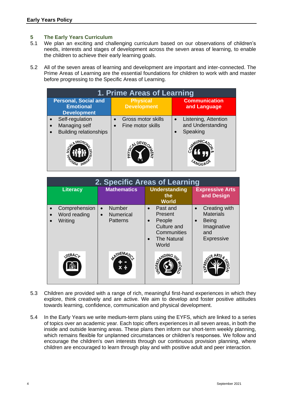#### **5 The Early Years Curriculum**

- 5.1 We plan an exciting and challenging curriculum based on our observations of children's needs, interests and stages of development across the seven areas of learning, to enable the children to achieve their early learning goals.
- 5.2 All of the seven areas of learning and development are important and inter-connected. The Prime Areas of Learning are the essential foundations for children to work with and master before progressing to the Specific Areas of Learning.

| 1. Prime Areas of Learning                                            |                                         |                                                                    |
|-----------------------------------------------------------------------|-----------------------------------------|--------------------------------------------------------------------|
| <b>Personal, Social and</b><br><b>Emotional</b><br><b>Development</b> | <b>Physical</b><br><b>Development</b>   | <b>Communication</b><br>and Language                               |
| Self-regulation<br>Managing self<br><b>Building relationships</b>     | Gross motor skills<br>Fine motor skills | Listening, Attention<br>$\bullet$<br>and Understanding<br>Speaking |
|                                                                       | PHYSIC<br>NH<br>NH                      | MUNICA                                                             |

| 2. Specific Areas of Learning            |                                                                         |                                                                                                                      |                                                                                                                        |
|------------------------------------------|-------------------------------------------------------------------------|----------------------------------------------------------------------------------------------------------------------|------------------------------------------------------------------------------------------------------------------------|
| <b>Literacy</b>                          | <b>Mathematics</b>                                                      | <b>Understanding</b><br>the<br><b>World</b>                                                                          | <b>Expressive Arts</b><br>and Design                                                                                   |
| Comprehension<br>Word reading<br>Writing | <b>Number</b><br>$\bullet$<br><b>Numerical</b><br>$\bullet$<br>Patterns | Past and<br>$\bullet$<br>Present<br>People<br>$\bullet$<br>Culture and<br>Communities<br><b>The Natural</b><br>World | Creating with<br>$\bullet$<br><b>Materials</b><br><b>Being</b><br>$\bullet$<br>Imaginative<br>and<br><b>Expressive</b> |
| <b>ITERACL</b>                           |                                                                         | NDING<br><b>NORLO</b>                                                                                                |                                                                                                                        |

- 5.3 Children are provided with a range of rich, meaningful first-hand experiences in which they explore, think creatively and are active. We aim to develop and foster positive attitudes towards learning, confidence, communication and physical development.
- 5.4 In the Early Years we write medium-term plans using the EYFS, which are linked to a series of topics over an academic year. Each topic offers experiences in all seven areas, in both the inside and outside learning areas. These plans then inform our short-term weekly planning, which remains flexible for unplanned circumstances or children's responses. We follow and encourage the children's own interests through our continuous provision planning, where children are encouraged to learn through play and with positive adult and peer interaction.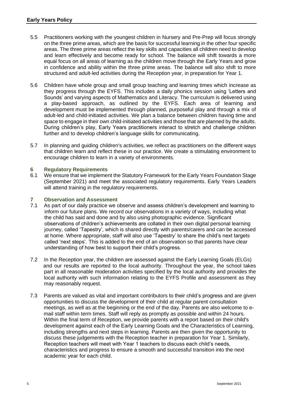- 5.5 Practitioners working with the youngest children in Nursery and Pre-Prep will focus strongly on the three prime areas, which are the basis for successful learning in the other four specific areas. The three prime areas reflect the key skills and capacities all children need to develop and learn effectively and become ready for school. The balance will shift towards a more equal focus on all areas of learning as the children move through the Early Years and grow in confidence and ability within the three prime areas. The balance will also shift to more structured and adult-led activities during the Reception year, in preparation for Year 1.
- 5.6 Children have whole group and small group teaching and learning times which increase as they progress through the EYFS. This includes a daily phonics session using 'Letters and Sounds' and varying aspects of Mathematics and Literacy. The curriculum is delivered using a play-based approach, as outlined by the EYFS. Each area of learning and development must be implemented through planned, purposeful play and through a mix of adult-led and child-initiated activities. We plan a balance between children having time and space to engage in their own child-initiated activities and those that are planned by the adults. During children's play, Early Years practitioners interact to stretch and challenge children further and to develop children's language skills for communicating.
- 5.7 In planning and guiding children's activities, we reflect as practitioners on the different ways that children learn and reflect these in our practice. We create a stimulating environment to encourage children to learn in a variety of environments.

#### **6 Regulatory Requirements**

6.1 We ensure that we implement the Statutory Framework for the Early Years Foundation Stage (September 2021) and meet the associated regulatory requirements. Early Years Leaders will attend training in the regulatory requirements.

### **7 Observation and Assessment**

- As part of our daily practice we observe and assess children's development and learning to inform our future plans. We record our observations in a variety of ways, including what the child has said and done and by also using photographic evidence. Significant observations of children's achievements are collated in their own digital personal learning journey, called 'Tapestry', which is shared directly with parents/carers and can be accessed at home. Where appropriate, staff will also use 'Tapestry' to share the child's next targets called 'next steps'. This is added to the end of an observation so that parents have clear understanding of how best to support their child's progress.
- 7.2 In the Reception year, the children are assessed against the Early Learning Goals (ELGs) and our results are reported to the local authority. Throughout the year, the school takes part in all reasonable moderation activities specified by the local authority and provides the local authority with such information relating to the EYFS Profile and assessment as they may reasonably request.
- 7.3 Parents are valued as vital and important contributors to their child's progress and are given opportunities to discuss the development of their child at regular parent consultation meetings, as well as at the beginning or the end of the day. Parents are also welcome to email staff within term times. Staff will reply as promptly as possible and within 24 hours. Within the final term of Reception, we provide parents with a report based on their child's development against each of the Early Learning Goals and the Characteristics of Learning, including strengths and next steps in learning. Parents are then given the opportunity to discuss these judgements with the Reception teacher in preparation for Year 1. Similarly, Reception teachers will meet with Year 1 teachers to discuss each child's needs, characteristics and progress to ensure a smooth and successful transition into the next academic year for each child.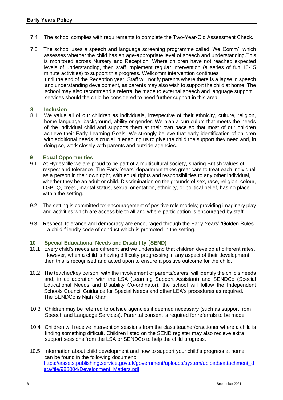- 7.4 The school complies with requirements to complete the Two-Year-Old Assessment Check.
- 7.5 The school uses a speech and language screening programme called 'WellComm', which assesses whether the child has an age-appropriate level of speech and understanding.This is monitored across Nursery and Reception. Where children have not reached expected levels of understanding, then staff implement regular intervention (a series of fun 10-15 minute activities) to support this progress. Wellcomm intervention continues until the end of the Reception year. Staff will notify parents where there is a lapse in speech and understanding development, as parents may also wish to support the child at home. The school may also recommend a referral be made to external speech and language support services should the child be considered to need further support in this area.

#### **8 Inclusion**

8.1 We value all of our children as individuals, irrespective of their ethnicity, culture, religion, home language, background, ability or gender. We plan a curriculum that meets the needs of the individual child and supports them at their own pace so that most of our children achieve their Early Learning Goals. We strongly believe that early identification of children with additional needs is crucial in enabling us to give the child the support they need and, in doing so, work closely with parents and outside agencies.

#### **9 Equal Opportunities**

- 9.1 At Hydesville we are proud to be part of a multicultural society, sharing British values of respect and tolerance. The Early Years' department takes great care to treat each individual as a person in their own right, with equal rights and responsibilities to any other individual, whether they be an adult or child. Discrimination on the grounds of sex, race, religion, colour, LGBTQ, creed, marital status, sexual orientation, ethnicity, or political belief, has no place within the setting.
- 9.2 The setting is committed to: encouragement of positive role models; providing imaginary play and activities which are accessible to all and where participation is encouraged by staff.
- 9.3 Respect, tolerance and democracy are encouraged through the Early Years' 'Golden Rules' – a child-friendly code of conduct which is promoted in the setting.

#### **10 Special Educational Needs and Disability** (**SEND)**

- 10.1 Every child's needs are different and we understand that children develop at different rates. However, when a child is having difficulty progressing in any aspect of their development, then this is recognised and acted upon to ensure a positive outcome for the child.
- 10.2 The teacher/key person, with the involvement of parents/carers, will identify the child's needs and, in collaboration with the LSA (Learning Support Assistant) and SENDCo (Special Educational Needs and Disability Co-ordinator), the school will follow the Independent Schools Council Guidance for Special Needs and other LEA's procedures as required. The SENDCo is Njah Khan.
- 10.3 Children may be referred to outside agencies if deemed necessary (such as support from Speech and Language Services). Parental consent is required for referrals to be made.
- 10.4 Children will receive intervention sessions from the class teacher/practioner where a child is finding something difficult. Children listed on the SEND register may also recieve extra support sessions from the LSA or SENDCo to help the child progress.
- 10.5 Information about child development and how to support your child's progress at home can be found in the following document: [https://assets.publishing.service.gov.uk/government/uploads/system/uploads/attachment\\_d](https://assets.publishing.service.gov.uk/government/uploads/system/uploads/attachment_data/file/988004/Development_Matters.pdf) [ata/file/988004/Development\\_Matters.pdf](https://assets.publishing.service.gov.uk/government/uploads/system/uploads/attachment_data/file/988004/Development_Matters.pdf)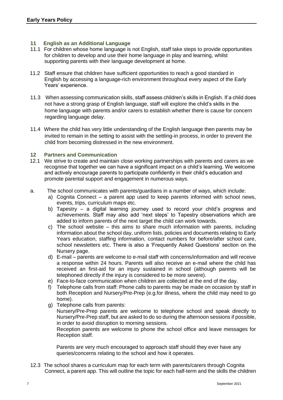#### **11 English as an Additional Language**

- 11.1 For children whose home language is not English, staff take steps to provide opportunities for children to develop and use their home language in play and learning, whilst supporting parents with their language development at home.
- 11.2 Staff ensure that children have sufficient opportunities to reach a good standard in English by accessing a language-rich environment throughout every aspect of the Early Years' experience.
- 11.3 When assessing communication skills, staff assess children's skills in English. If a child does not have a strong grasp of English language, staff will explore the child's skills in the home language with parents and/or carers to establish whether there is cause for concern regarding language delay.
- 11.4 Where the child has very little understanding of the English language then parents may be invited to remain in the setting to assist with the settling-in process, in order to prevent the child from becoming distressed in the new environment.

#### **12 Partners and Communication**

- 12.1 We strive to create and maintain close working partnerships with parents and carers as we recognise that together we can have a significant impact on a child's learning. We welcome and actively encourage parents to participate confidently in their child's education and promote parental support and engagement in numerous ways.
- a. The school communicates with parents/guardians in a number of ways, which include:
	- a) Cognita Connect a parent app used to keep parents informed with school news, events, trips, curriculum maps etc.
	- b) Tapestry a digital learning journey used to record your child's progress and achievements. Staff may also add 'next steps' to Tapestry observations which are added to inform parents of the next target the child can work towards.
	- c) The school website this aims to share much information with parents, including information about the school day, uniform lists, policies and documents relating to Early Years education, staffing information, contact numbers for before/after school care, school newsletters etc. There is also a 'Frequently Asked Questions' section on the Nursery page.
	- d) E-mail parents are welcome to e-mail staff with concerns/information and will receive a response within 24 hours. Parents will also receive an e-mail where the child has received an first-aid for an injury sustained in school (although parents will be telephoned directly if the injury is considered to be more severe).
	- e) Face-to-face communication when children are collected at the end of the day.
	- f) Telephone calls from staff: Phone calls to parents may be made on occasion by staff in both Reception and Nursery/Pre-Prep (e.g.for illness, where the child may need to go home).
	- g) Telephone calls from parents: Nursery/Pre-Prep parents are welcome to telephone school and speak directly to Nursery/Pre-Prep staff, but are asked to do so during the afternoon sessions if possible, in order to avoid disruption to morning sessions. Reception parents are welcome to phone the school office and leave messages for Reception staff.

 Parents are very much encouraged to approach staff should they ever have any queries/concerns relating to the school and how it operates.

12.3 The school shares a curriculum map for each term with parents/carers through Cognita Connect, a parent app. This will outline the topic for each half-term and the skills the children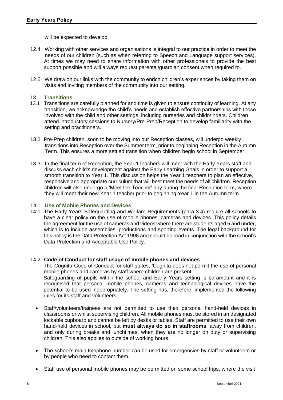will be expected to develop.

- 12.4 Working with other services and organisations is integral to our practice in order to meet the needs of our children (such as when referring to Speech and Language support services). At times we may need to share information with other professionals to provide the best support possible and will always request parental/guardian consent when required to.
- 12.5 We draw on our links with the community to enrich children's experiences by taking them on visits and inviting members of the community into our setting.

#### **13 Transitions**

- 13.1 Transitions are carefully planned for and time is given to ensure continuity of learning. At any transition, we acknowledge the child's needs and establish effective partnerships with those involved with the child and other settings, including nurseries and childminders. Children attend introductory sessions to Nursery/Pre-Prep/Reception to develop familiarity with the setting and practitioners.
- 13.2 Pre-Prep children, soon to be moving into our Reception classes, will undergo weekly transitions into Reception over the Summer term, prior to beginning Reception in the Autumn Term. This ensures a more settled transition when children begin school in September.
- 13.3 In the final term of Reception, the Year 1 teachers will meet with the Early Years staff and discuss each child's development against the Early Learning Goals in order to support a smooth transition to Year 1. This discussion helps the Year 1 teachers to plan an effective, responsive and appropriate curriculum that will best meet the needs of all children. Reception children will also undergo a 'Meet the Teacher' day during the final Reception term, where they will meet their new Year 1 teacher prior to beginning Year 1 in the Autumn term.

#### **14 Use of Mobile Phones and Devices**

14.1 The Early Years Safeguarding and Welfare Requirements (para 3.4) require all schools to have a clear policy on the use of mobile phones, cameras and devices. This policy details the agreement for the use of cameras and videos where there are students aged 5 and under, which is to include assemblies, productions and sporting events. The legal background for this policy is the Data Protection Act 1998 and should be read in conjunction with the school's Data Protection and Acceptable Use Policy.

#### 14.2 **Code of Conduct for staff usage of mobile phones and devices**

The Cognita Code of Conduct for staff states, 'Cognita does not permit the use of personal mobile phones and cameras by staff where children are present'. Safeguarding of pupils within the school and Early Years setting is paramount and it is recognised that personal mobile phones, cameras and technological devices have the potential to be used inappropriately. The setting has, therefore, implemented the following rules for its staff and volunteers:

- Staff/volunteers/trainees are not permitted to use their personal hand-held devices in classrooms or whilst supervising children. All mobile phones must be stored in an designated lockable cupboard and cannot be left by desks or tables. Staff are permitted to use their own hand-held devices in school, but **must always do so in staffrooms**, away from children, and only during breaks and lunchtimes, when they are no longer on duty or supervising children. This also applies to outside of working hours.
- The school's main telephone number can be used for emergencies by staff or volunteers or by people who need to contact them.
- Staff use of personal mobile phones may be permitted on some school trips, where the visit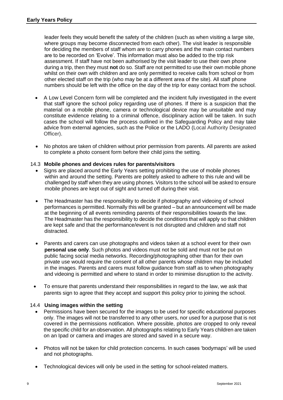leader feels they would benefit the safety of the children (such as when visiting a large site, where groups may become disconnected from each other). The visit leader is responsible for deciding the members of staff whom are to carry phones and the main contact numbers are to be recorded on 'Evolve'. This information must also be added to the trip risk assessment. If staff have not been authorised by the visit leader to use their own phone during a trip, then they must **not** do so. Staff are not permitted to use their own mobile phone whilst on their own with children and are only permitted to receive calls from school or from other elected staff on the trip (who may be at a different area of the site). All staff phone numbers should be left with the office on the day of the trip for easy contact from the school.

- A Low Level Concern form will be completed and the incident fully investigated in the event that staff ignore the school policy regarding use of phones. If there is a suspicion that the material on a mobile phone, camera or technological device may be unsuitable and may constitute evidence relating to a criminal offence, disciplinary action will be taken. In such cases the school will follow the process outlined in the Safeguarding Policy and may take advice from external agencies, such as the Police or the LADO (Local Authority Designated Officer).
- No photos are taken of children without prior permission from parents. All parents are asked to complete a photo consent form before their child joins the setting.

#### 14.3 **Mobile phones and devices rules for parents/visitors**

- Signs are placed around the Early Years setting prohibiting the use of mobile phones within and around the setting. Parents are politely asked to adhere to this rule and will be challenged by staff when they are using phones. Visitors to the school will be asked to ensure mobile phones are kept out of sight and turned off during their visit.
- The Headmaster has the responsibility to decide if photography and videoing of school performances is permitted. Normally this will be granted – but an announcement will be made at the beginning of all events reminding parents of their responsibilities towards the law. The Headmaster has the responsibility to decide the conditions that will apply so that children are kept safe and that the performance/event is not disrupted and children and staff not distracted.
- Parents and carers can use photographs and videos taken at a school event for their own **personal use only**. Such photos and videos must not be sold and must not be put on public facing social media networks. Recording/photographing other than for their own private use would require the consent of all other parents whose children may be included in the images. Parents and carers must follow guidance from staff as to when photography and videoing is permitted and where to stand in order to minimise disruption to the activity.
- To ensure that parents understand their responsibilities in regard to the law, we ask that parents sign to agree that they accept and support this policy prior to joining the school.

#### 14.4 **Using images within the setting**

- Permissions have been secured for the images to be used for specific educational purposes only. The images will not be transferred to any other users, nor used for a purpose that is not covered in the permissions notification. Where possible, photos are cropped to only reveal the specific child for an observation. All photographs relating to Early Years children are taken on an Ipad or camera and images are stored and saved in a secure way.
- Photos will not be taken for child protection concerns. In such cases 'bodymaps' will be used and not photographs.
- Technological devices will only be used in the setting for school-related matters.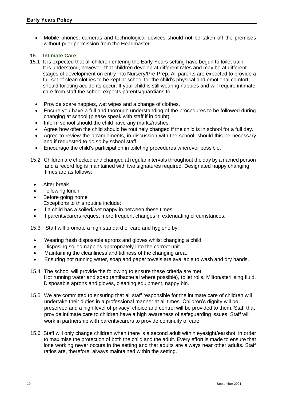• Mobile phones, cameras and technological devices should not be taken off the premises without prior permission from the Headmaster.

#### **15 Intimate Care**

- 15.1 It is expected that all children entering the Early Years setting have begun to toilet train. It is understood, however, that children develop at different rates and may be at different stages of development on entry into Nursery/Pre-Prep. All parents are expected to provide a full set of clean clothes to be kept at school for the child's physical and emotional comfort, should toileting accidents occur. If your child is still wearing nappies and will require intimate care from staff the school expects parents/guardians to:
	- Provide spare nappies, wet wipes and a change of clothes.
	- Ensure you have a full and thorough understanding of the procedures to be followed during changing at school (please speak with staff if in doubt).
	- Inform school should the child have any marks/rashes.
	- Agree how often the child should be routinely changed if the child is in school for a full day.
	- Agree to review the arrangements, in discussion with the school, should this be necessary and if requested to do so by school staff.
	- Encourage the child's participation in toileting procedures wherever possible.
- 15.2 Children are checked and changed at regular intervals throughout the day by a named person and a record log is maintained with two signatures required. Designated nappy changing times are as follows:
	- After break
	- Following lunch
	- Before going home Exceptions to this routine include:
	- If a child has a soiled/wet nappy in between these times.
	- If parents/carers request more frequent changes in extenuating circumstances.

15.3 Staff will promote a high standard of care and hygiene by:

- Wearing fresh disposable aprons and gloves whilst changing a child.
- Disposing soiled nappies appropriately into the correct unit.
- Maintaining the cleanliness and tidiness of the changing area.
- Ensuring hot running water, soap and paper towels are available to wash and dry hands.
- 15.4 The school will provide the following to ensure these criteria are met: Hot running water and soap (antibacterial where possible), toilet rolls, Milton/sterilising fluid, Disposable aprons and gloves, cleaning equipment, nappy bin.
- 15.5 We are committed to ensuring that all staff responsible for the intimate care of children will undertake their duties in a professional manner at all times. Children's dignity will be preserved and a high level of privacy, choice and control will be provided to them. Staff that provide intimate care to children have a high awareness of safeguarding issues. Staff will work in partnership with parents/carers to provide continuity of care.
- 15.6 Staff will only change children when there is a second adult within eyesight/earshot, in order to maximise the protection of both the child and the adult. Every effort is made to ensure that lone working never occurs in the setting and that adults are always near other adults. Staff ratios are, therefore, always maintained within the setting.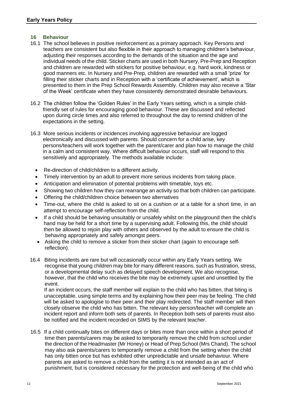#### **16 Behaviour**

- 16.1 The school believes in positive reinforcement as a primary approach. Key Persons and teachers are consistent but also flexible in their approach to managing children's behaviour, adjusting their responses according to the demands of the situation and the age and individual needs of the child. Sticker charts are used in both Nursery, Pre-Prep and Reception and children are rewarded with stickers for positive behaviour, e.g. hard work, kindness or good manners etc. In Nursery and Pre-Prep, children are rewarded with a small 'prize' for filling their sticker charts and in Reception with a 'certificate of achievement', which is presented to them in the Prep School Rewards Assembly. Children may also receive a 'Star of the Week' certificate when they have consistently demonstrated desirable behaviours.
- 16.2 The children follow the 'Golden Rules' in the Early Years setting, which is a simple child friendly set of rules for encouraging good behaviour. These are discussed and reflected upon during circle times and also referred to throughout the day to remind children of the expectations in the setting.
- 16.3 More serious incidents or incidences involving aggressive behaviour are logged electronically and discussed with parents. Should concern for a child arise, key persons/teachers will work together with the parent/carer and plan how to manage the child in a calm and consistent way. Where difficult behaviour occurs, staff will respond to this sensitively and appropriately. The methods available include:
	- Re-direction of child/children to a different activity.
	- Timely intervention by an adult to prevent more serious incidents from taking place.
	- Anticipation and elimination of potential problems with timetable, toys etc.
	- Showing two children how they can rearrange an activity so that both children can participate.
	- Offering the child/children choice between two alternatives
	- Time-out, where the child is asked to sit on a cushion or at a table for a short time, in an attempt to encourage self-reflection from the child.
	- If a child should be behaving unsuitably or unsafely whilst on the playground then the child's hand may be held for a short time by a supervising adult. Following this, the child should then be allowed to rejoin play with others and observed by the adult to ensure the child is behaving appropriately and safely amongst peers.
	- Asking the child to remove a sticker from their sticker chart (again to encourage self reflection).
- 16.4 Biting incidents are rare but will occasionally occur within any Early Years setting. We recognise that young children may bite for many different reasons, such as frustration, stress, or a developmental delay such as delayed speech development. We also recognise, however, that the child who receives the bite may be extremely upset and unsettled by the event.

 If an incident occurs, the staff member will explain to the child who has bitten, that biting is unacceptable, using simple terms and by explaining how their peer may be feeling. The child will be asked to apologise to their peer and their play redirected. The staff member will then closely observe the child who has bitten. The relevant key person/teacher will complete an incident report and inform both sets of parents. In Reception both sets of parents must also be notified and the incident recorded on SIMS by the relevant teacher.

16.5 If a child continually bites on different days or bites more than once within a short period of time then parents/carers may be asked to temporarily remove the child from school under the direction of the Headmaster (Mr Honey) or Head of Prep School (Mrs Chand). The school may also ask parents/carers to temporarily remove a child from the setting when the child has only bitten once but has exhibited other unpredictable and unsafe behaviour. Where parents are asked to remove a child from the setting it is not intended as an act of punishment, but is considered necessary for the protection and well-being of the child who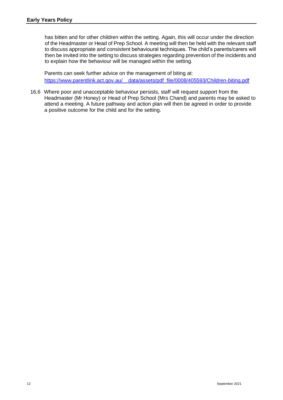has bitten and for other children within the setting. Again, this will occur under the direction of the Headmaster or Head of Prep School. A meeting will then be held with the relevant staff to discuss appropriate and consistent behavioural techniques. The child's parents/carers will then be invited into the setting to discuss strategies regarding prevention of the incidents and to explain how the behaviour will be managed within the setting.

 Parents can seek further advice on the management of biting at: [https://www.parentlink.act.gov.au/\\_\\_data/assets/pdf\\_file/0008/405593/Children-biting.pdf](https://www.parentlink.act.gov.au/__data/assets/pdf_file/0008/405593/Children-biting.pdf)

16.6 Where poor and unacceptable behaviour persists, staff will request support from the Headmaster (Mr Honey) or Head of Prep School (Mrs Chand) and parents may be asked to attend a meeting. A future pathway and action plan will then be agreed in order to provide a positive outcome for the child and for the setting.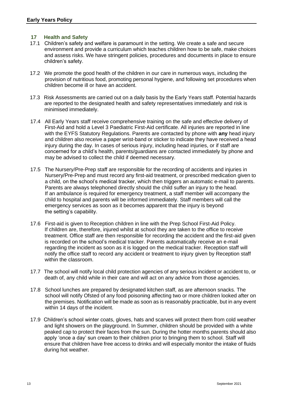#### **17 Health and Safety**

- 17.1 Children's safety and welfare is paramount in the setting. We create a safe and secure environment and provide a curriculum which teaches children how to be safe, make choices and assess risks. We have stringent policies, procedures and documents in place to ensure children's safety.
- 17.2 We promote the good health of the children in our care in numerous ways, including the provision of nutritious food, promoting personal hygiene, and following set procedures when children become ill or have an accident.
- 17.3 Risk Assessments are carried out on a daily basis by the Early Years staff. Potential hazards are reported to the designated health and safety representatives immediately and risk is minimised immediately.
- 17.4 All Early Years staff receive comprehensive training on the safe and effective delivery of First-Aid and hold a Level 3 Paediatric First-Aid certificate. All injuries are reported in line with the EYFS Statutory Regulations. Parents are contacted by phone with **any** head injury and children also receive a paper wrist-band or sticker to indicate they have received a head injury during the day. In cases of serious injury, including head injuries, or if staff are concerned for a child's health, parents/guardians are contacted immediately by phone and may be advised to collect the child if deemed necessary.
- 17.5 The Nursery/Pre-Prep staff are responsible for the recording of accidents and injuries in Nursery/Pre-Prep and must record any first-aid treatment, or prescribed medication given to a child, on the school's medical tracker, which then triggers an automatic e-mail to parents. Parents are always telephoned directly should the child suffer an injury to the head. If an ambulance is required for emergency treatment, a staff member will accompany the child to hospital and parents will be informed immediately. Staff members will call the emergency services as soon as it becomes apparent that the injury is beyond the setting's capability.
- 17.6 First-aid is given to Reception children in line with the Prep School First-Aid Policy. If children are, therefore, injured whilst at school they are taken to the office to receive treatment. Office staff are then responsible for recording the accident and the first-aid given is recorded on the school's medical tracker. Parents automatically receive an e-mail regarding the incident as soon as it is logged on the medical tracker. Reception staff will notify the office staff to record any accident or treatment to injury given by Reception staff within the classroom.
- 17.7 The school will notify local child protection agencies of any serious incident or accident to, or death of, any child while in their care and will act on any advice from those agencies.
- 17.8 School lunches are prepared by designated kitchen staff, as are afternoon snacks. The school will notify Ofsted of any food poisoning affecting two or more children looked after on the premises. Notification will be made as soon as is reasonably practicable, but in any event within 14 days of the incident.
- 17.9 Children's school winter coats, gloves, hats and scarves will protect them from cold weather and light showers on the playground. In Summer, children should be provided with a white peaked cap to protect their faces from the sun. During the hotter months parents should also apply 'once a day' sun cream to their children prior to bringing them to school. Staff will ensure that children have free access to drinks and will especially monitor the intake of fluids during hot weather.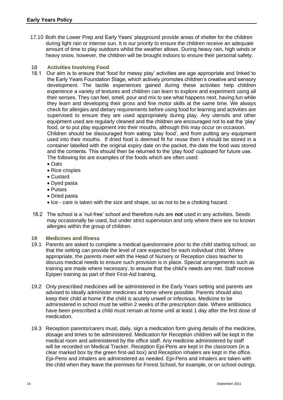17.10 Both the Lower Prep and Early Years' playground provide areas of shelter for the children during light rain or intense sun. It is our priority to ensure the children receive an adequate amount of time to play outdoors whilst the weather allows. During heavy rain, high winds or heavy snow, however, the children will be brought indoors to ensure their personal safety.

#### 18 **Activities Involving Food**

- 18.1 Our aim is to ensure that 'food for messy play' activities are age appropriate and linked to the Early Years Foundation Stage, which actively promotes children's creative and sensory development. The tactile experiences gained during these activities help children experience a variety of textures and children can learn to explore and experiment using all their senses. They can feel, smell, pour and mix to see what happens next, having fun while they learn and developing their gross and fine motor skills at the same time. We always check for allergies and dietary requirements before using food for learning and activities are supervised to ensure they are used appropriately during play. Any utensils and other equipment used are regularly cleaned and the children are encouraged not to eat the 'play' food, or to put play equipment into their mouths, although this may occur on occasion. Children should be discouraged from eating 'play food', and from putting any equipment used into their mouths. If dried food is deemed fit for reuse then it should be stored in a container labelled with the original expiry date on the packet, the date the food was stored and the contents. This should then be returned to the 'play food' cupboard for future use. The following list are examples of the foods which are often used:
	- Oats
	- Rice crispies
	- Custard
	- Dyed pasta
	- Pulses
	- Dried pasta
	- Ice care is taken with the size and shape, so as not to be a choking hazard.
- 18.2 The school is a 'nut-free' school and therefore nuts are **not** used in any activities. Seeds may occasionally be used, but under strict supervision and only where there are no known allergies within the group of children.

#### **19 Medicines and Illness**

- 19.1 Parents are asked to complete a medical questionnaire prior to the child starting school, so that the setting can provide the level of care expected for each individual child. Where appropriate, the parents meet with the Head of Nursery or Reception class teacher to discuss medical needs to ensure such provision is in place. Special arrangements such as training are made where necessary, to ensure that the child's needs are met. Staff receive Epipen training as part of their First-Aid training.
- 19.2 Only prescribed medicines will be administered in the Early Years setting and parents are advised to ideally administer medicines at home where possible. Parents should also keep their child at home if the child is acutely unwell or infectious. Medicine to be administered in school must be within 2 weeks of the prescription date. Where antibiotics have been prescribed a child must remain at home until at least 1 day after the first dose of medication.
- 19.3 Reception parents/carers must, daily, sign a medication form giving details of the medicine, dosage and times to be administered. Medication for Reception children will be kept in the medical room and administered by the office staff. Any medicine administered by staff will be recorded on Medical Tracker. Reception Epi-Pens are kept in the classroom (in a clear marked box by the green first-aid box) and Reception inhalers are kept in the office. Epi-Pens and inhalers are administered as needed. Epi-Pens and inhalers are taken with the child when they leave the premises for Forest School, for example, or on school outings.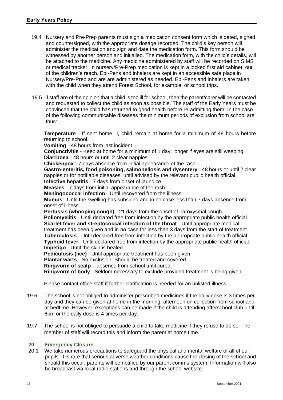- 19.4 Nursery and Pre-Prep parents must sign a medication consent form which is dated, signed and countersigned, with the appropriate dosage recorded. The child's key person will administer the medication and sign and date the medication form. This form should be witnessed by another person and initialled. The medication form, with the child's details, will be attached to the medicine. Any medicine administered by staff will be recorded on SIMS or medical tracker. In nursery/Pre-Prep medication is kept in a locked first aid cabinet, out of the children's reach. Epi-Pens and inhalers are kept in an accessible safe place in Nursery/Pre-Prep and are are administered as needed. Epi-Pens and inhalers are taken with the child when they attend Forest School, for example, or school trips.
- 19.5 If staff are of the opinion that a child is too ill for school, then the parent/carer will be contacted and requested to collect the child as soon as possible. The staff of the Early Years must be convinced that the child has returned to good health before re-admitting them. In the case of the following communicable diseases the minimum periods of exclusion from school are thus:

**Temperature** - If sent home ill, child remain at home for a minimum of 48 hours before returning to school.

**Vomiting** - 48 hours from last incident.

**Conjunctivitis** - Keep at home for a minimum of 1 day; longer if eyes are still weeping. **Diarrhoea** - 48 hours or until 2 clear nappies.

**Chickenpox** - 7 days absence from initial appearance of the rash.

**Gastro-enteritis, food poisoning, salmonellosis and dysentery** - 48 hours or until 2 clear nappies or for notifiable diseases, until advised by the relevant public health official. **Infective hepatitis** - 7 days from onset of jaundice.

**Measles** - 7 days from initial appearance of the rash.

**Meningococcal infection** - Until recovered from the illness.

**Mumps** - Until the swelling has subsided and in no case less than 7 days absence from onset of illness.

**Pertussis (whooping cough)** - 21 days from the onset of paroxysmal cough.

**Poliomyelitis** - Until declared free from infection by the appropriate public health official. **Scarlet fever and streptococcal infection of the throat** - Until appropriate medical treatment has been given and in no case for less than 3 days from the start of treatment. **Tuberculosis** - Until declared free from infection by the appropriate public health official. **Typhoid fever** - Until declared free from infection by the appropriate public health official.

**Impetigo** - Until the skin is healed. **Pediculosis (lice)** - Until appropriate treatment has been given.

**Plantar warts** - No exclusion. Should be treated and covered.

**Ringworm of scalp** – absence from school until cured.

**Ringworm of body** - Seldom necessary to exclude provided treatment is being given.

Please contact office staff if further clarification is needed for an unlisted illness.

- 19.6 The school is not obliged to administer prescribed medicines if the daily dose is 3 times per day and they can be given at home in the morning, afternoon on collection from school and at bedtime. However, exceptions can be made if the child is attending afterschool club until 6pm or the daily dose is 4 times per day.
- 19.7 The school is not obliged to persuade a child to take medicine if they refuse to do so. The member of staff will record this and inform the parent at home time.

#### **20 Emergency Closure**

20.1 We take numerous precautions to safeguard the physical and mental welfare of all of our pupils. It is rare that serious adverse weather conditions cause the closing of the school and should this occur, parents will be notified by our parent comms system. Information will also be broadcast via local radio stations and through the school website.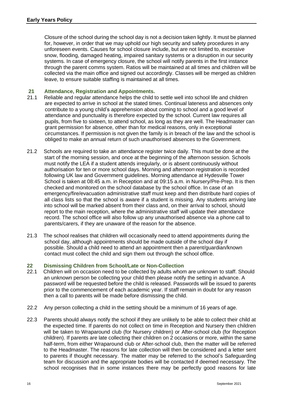Closure of the school during the school day is not a decision taken lightly. It must be planned for, however, in order that we may uphold our high security and safety procedures in any unforeseen events. Causes for school closure include, but are not limited to, excessive snow, flooding, damaged heating, impaired sanitary systems or a disruption in our security systems. In case of emergency closure, the school will notify parents in the first instance through the parent comms system. Ratios will be maintained at all times and children will be collected via the main office and signed out accordingly. Classes will be merged as children leave, to ensure suitable staffing is maintained at all times.

#### **21 Attendance, Registration and Appointments.**

- 21.1 Reliable and regular attendance helps the child to settle well into school life and children are expected to arrive in school at the stated times. Continual lateness and absences only contribute to a young child's apprehension about coming to school and a good level of attendance and punctuality is therefore expected by the school. Current law requires all pupils, from five to sixteen, to attend school, as long as they are well. The Headmaster can grant permission for absence, other than for medical reasons, only in exceptional circumstances. If permission is not given the family is in breach of the law and the school is obliged to make an annual return of such unauthorised absences to the Government.
- 21.2 Schools are required to take an attendance register twice daily. This must be done at the start of the morning session, and once at the beginning of the afternoon session. Schools must notify the LEA if a student attends irregularly, or is absent continuously without authorisation for ten or more school days. Morning and afternoon registration is recorded following UK law and Government guidelines. Morning attendance at Hydesville Tower School is taken at 08:45 a.m. in Reception and at 09:15 a.m. in Nursery/Pre-Prep. It is then checked and monitored on the school database by the school office. In case of an emergency/fire/evacuation administrative staff must keep and then distribute hard copies of all class lists so that the school is aware if a student is missing. Any students arriving late into school will be marked absent from their class and, on their arrival to school, should report to the main reception, where the administrative staff will update their attendance record. The school office will also follow up any unauthorised absence via a phone call to parents/carers, if they are unaware of the reason for the absence.
- 21.3 The school realises that children will occasionally need to attend appointments during the school day, although appointments should be made outside of the school day if possible. Should a child need to attend an appointment then a parent/guardian/known contact must collect the child and sign them out through the school office.

#### **22 Dismissing Children from School/Late or Non-Collection**

- 22.1 Children will on occasion need to be collected by adults whom are unknown to staff. Should an unknown person be collecting your child then please notify the setting in advance. A password will be requested before the child is released. Passwords will be issued to parents prior to the commencement of each academic year. If staff remain in doubt for any reason then a call to parents will be made before dismissing the child.
- 22.2 Any person collecting a child in the setting should be a minimum of 16 years of age.
- 22.3 Parents should always notify the school if they are unlikely to be able to collect their child at the expected time. If parents do not collect on time in Reception and Nursery then children will be taken to Wraparound club (for Nursery children) or After-school club (for Reception children). If parents are late collecting their children on 2 occasions or more, within the same half-term, from either Wraparound club or After-school club, then the matter will be referred to the Headmaster. The reasons for late collection will then be considered and a letter sent to parents if thought necessary. The matter may be referred to the school's Safeguarding team for discussion and the appropriate bodies will be contacted if deemed necessary. The school recognises that in some instances there may be perfectly good reasons for late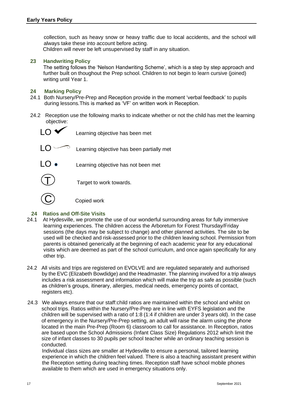collection, such as heavy snow or heavy traffic due to local accidents, and the school will always take these into account before acting.

Children will never be left unsupervised by staff in any situation.

#### **23 Handwriting Policy**

 The setting follows the 'Nelson Handwriting Scheme', which is a step by step approach and further built on thoughout the Prep school. Children to not begin to learn cursive (joined) writing until Year 1.

#### **24 Marking Policy**

- 24.1 Both Nursery/Pre-Prep and Reception provide in the moment 'verbal feedback' to pupils during lessons.This is marked as 'VF' on written work in Reception.
- 24.2 Reception use the following marks to indicate whether or not the child has met the learning objective:



 $LO \blacktriangleright$  Learning objective has been met



 $LO \bullet$  Learning objective has not been met

Target to work towards.

Copied work

#### **24 Ratios and Off-Site Visits**

- 24.1 At Hydesville, we promote the use of our wonderful surrounding areas for fully immersive learning experiences. The children access the Arboretum for Forest Thursday/Friday sessions (the days may be subject to change) and other planned activities. The site to be used will be checked and risk-assessed prior to the children leaving school. Permission from parents is obtained generically at the beginning of each academic year for any educational visits which are deemed as part of the school curriculum, and once again specifically for any other trip.
- 24.2 All visits and trips are registered on EVOLVE and are regulated separately and authorised by the EVC (Elizabeth Bowdidge) and the Headmaster. The planning involved for a trip always includes a risk assessment and information which will make the trip as safe as possible (such as children's groups, itinerary, allergies, medical needs, emergency points of contact, registers etc).
- 24.3 We always ensure that our staff:child ratios are maintained within the school and whilst on school trips. Ratios within the Nursery/Pre-Prep are in line with EYFS legislation and the children will be supervised with a ratio of 1:8 (1:4 if children are under 3 years old). In the case of emergency in the Nursery/Pre-Prep setting, an adult will raise the alarm using the phone located in the main Pre-Prep (Room 6) classroom to call for assistance. In Reception, ratios are based upon the School Admissions (Infant Class Size) Regulations 2012 which limit the size of infant classes to 30 pupils per school teacher while an ordinary teaching session is conducted.

 Individual class sizes are smaller at Hydesville to ensure a personal, tailored learning experience in which the children feel valued. There is also a teaching assistant present within the Reception setting during teaching times. Reception staff have school mobile phones available to them which are used in emergency situations only.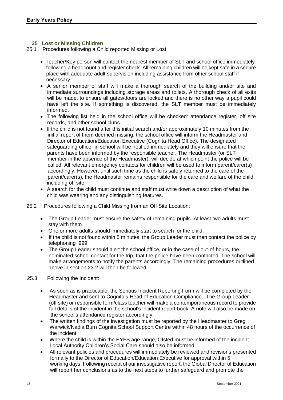#### **25 Lost or Missing Children**

25.1 Procedures following a Child reported Missing or Lost:

- Teacher/Key person will contact the nearest member of SLT and school office immediately following a headcount and register check. All remaining children will be kept safe in a secure place with adequate adult supervision including assistance from other school staff if necessary.
- A senior member of staff will make a thorough search of the building and/or site and immediate surroundings including storage areas and toilets. A thorough check of all exits will be made, to ensure all gates/doors are locked and there is no other way a pupil could have left the site. If something is discovered, the SLT member must be immediately informed.
- The following list held in the school office will be checked: attendance register, off site records, and other school clubs.
- If the child is not found after this initial search and/or approximately 10 minutes from the initial report of them deemed missing, the school office will inform the Headmaster and Director of Education/Education Executive (Cognita Head Office). The designated safeguarding officer in school will be notified immediately and they will ensure that the parents have been informed by the responsible teacher. The Headmaster (or SLT member in the absence of the Headmaster), will decide at which point the police will be called. All relevant emergency contacts for children will be used to inform parent/carer(s) accordingly. However, until such time as the child is safely returned to the care of the parent/carer(s), the Headmaster remains responsible for the care and welfare of the child, including off site.
- A search for the child must continue and staff must write down a description of what the child was wearing and any distinguishing features.
- 25.2 Procedures following a Child Missing from an Off Site Location:
	- The Group Leader must ensure the safety of remaining pupils. At least two adults must stay with them.
	- One or more adults should immediately start to search for the child.
	- If the child is not found within 5 minutes, the Group Leader must then contact the police by telephoning 999.
	- The Group Leader should alert the school office, or in the case of out-of-hours, the nominated school contact for the trip, that the police have been contacted. The school will make arrangements to notify the parents accordingly. The remaining procedures outlined above in section 23.2 will then be followed.
- 25.3 Following the Incident:
	- As soon as is practicable, the Serious Incident Reporting Form will be completed by the Headmaster and sent to Cognita's Head of Education Compliance. The Group Leader (off site) or responsible form/class teacher will make a contemporaneous record to provide full details of the incident in the school's incident report book. A note will also be made on the school's attendance register accordingly.
	- The written findings of the investigation must be reported by the Headmaster to Greg Warwick/Nadia Burn Cognita School Support Centre within 48 hours of the occurrence of the incident.
	- Where the child is within the EYFS age range, Ofsted must be informed of the incident. Local Authority Children's Social Care should also be informed.
	- All relevant policies and procedures will immediately be reviewed and revisions presented formally to the Director of Education/Education Executive for approval within 5 working days. Following receipt of our investigative report, the Global Director of Education will report her conclusions as to the next steps to further safeguard and promote the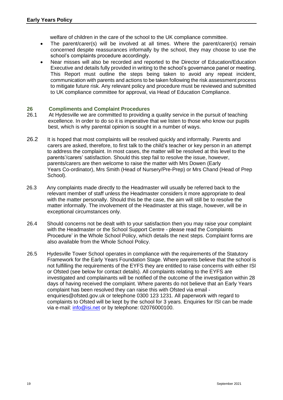welfare of children in the care of the school to the UK compliance committee.

- The parent/carer(s) will be involved at all times. Where the parent/carer(s) remain concerned despite reassurances informally by the school, they may choose to use the school's complaints procedure accordingly.
- Near misses will also be recorded and reported to the Director of Education/Education Executive and details fully provided in writing to the school's governance panel or meeting. This Report must outline the steps being taken to avoid any repeat incident, communication with parents and actions to be taken following the risk assessment process to mitigate future risk. Any relevant policy and procedure must be reviewed and submitted to UK compliance committee for approval, via Head of Education Compliance.

#### **26 Compliments and Complaint Procedures**

- 26.1 At Hydesville we are committed to providing a quality service in the pursuit of teaching excellence. In order to do so it is imperative that we listen to those who know our pupils best, which is why parental opinion is sought in a number of ways.
- 26.2 It is hoped that most complaints will be resolved quickly and informally. Parents and carers are asked, therefore, to first talk to the child's teacher or key person in an attempt to address the complaint. In most cases, the matter will be resolved at this level to the parents'/carers' satisfaction. Should this step fail to resolve the issue, however, parents/carers are then welcome to raise the matter with Mrs Dowen (Early Years Co-ordinator), Mrs Smith (Head of Nursery/Pre-Prep) or Mrs Chand (Head of Prep School).
- 26.3 Any complaints made directly to the Headmaster will usually be referred back to the relevant member of staff unless the Headmaster considers it more appropriate to deal with the matter personally. Should this be the case, the aim will still be to resolve the matter informally. The involvement of the Headmaster at this stage, however, will be in exceptional circumstances only.
- 26.4 Should concerns not be dealt with to your satisfaction then you may raise your complaint with the Headmaster or the School Support Centre - please read the Complaints Procedure' in the Whole School Policy, which details the next steps. Complaint forms are also available from the Whole School Policy.
- 26.5 Hydesville Tower School operates in compliance with the requirements of the Statutory Framework for the Early Years Foundation Stage. Where parents believe that the school is not fulfilling the requirements of the EYFS they are entitled to raise concerns with either ISI or Ofsted (see below for contact details). All complaints relating to the EYFS are investigated and complainants will be notified of the outcome of the investigation within 28 days of having received the complaint. Where parents do not believe that an Early Years complaint has been resolved they can raise this with Ofsted via email enquiries@ofsted.gov.uk or telephone 0300 123 1231. All paperwork with regard to complaints to Ofsted will be kept by the school for 3 years. Enquiries for ISI can be made via e-mail: [info@isi.net](mailto:info@isi.net) or by telephone: 02076000100.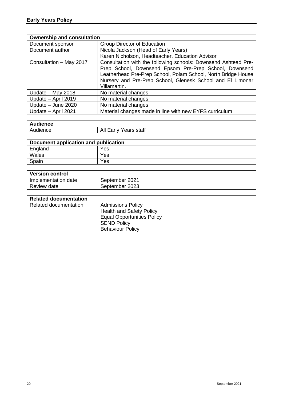| <b>Ownership and consultation</b> |                                                                |  |
|-----------------------------------|----------------------------------------------------------------|--|
| Document sponsor                  | Group Director of Education                                    |  |
| Document author                   | Nicola Jackson (Head of Early Years)                           |  |
|                                   | Karen Nicholson, Headteacher, Education Advisor                |  |
| Consultation - May 2017           | Consultation with the following schools: Downsend Ashtead Pre- |  |
|                                   | Prep School, Downsend Epsom Pre-Prep School, Downsend          |  |
|                                   | Leatherhead Pre-Prep School, Polam School, North Bridge House  |  |
|                                   | Nursery and Pre-Prep School, Glenesk School and El Limonar     |  |
|                                   | Villamartin.                                                   |  |
| Update - May 2018                 | No material changes                                            |  |
| Update - April 2019               | No material changes                                            |  |
| Update - June 2020                | No material changes                                            |  |
| Update - April 2021               | Material changes made in line with new EYFS curriculum         |  |

| . .<br><b>\udience</b> |                                                    |
|------------------------|----------------------------------------------------|
| udience                | staff<br>^<br>∟arlv<br><b>Agre</b><br>-Ah<br>Udi S |

| Document application and publication |     |
|--------------------------------------|-----|
| England                              | Yes |
| Wales                                | Yes |
| Spain                                | Yes |

| <b>Version control</b> |                |
|------------------------|----------------|
| Implementation date    | September 2021 |
| Review date            | September 2023 |

| <b>Related documentation</b> |                                   |
|------------------------------|-----------------------------------|
| Related documentation        | <b>Admissions Policy</b>          |
|                              | <b>Health and Safety Policy</b>   |
|                              | <b>Equal Opportunities Policy</b> |
|                              | <b>SEND Policy</b>                |
|                              | <b>Behaviour Policy</b>           |